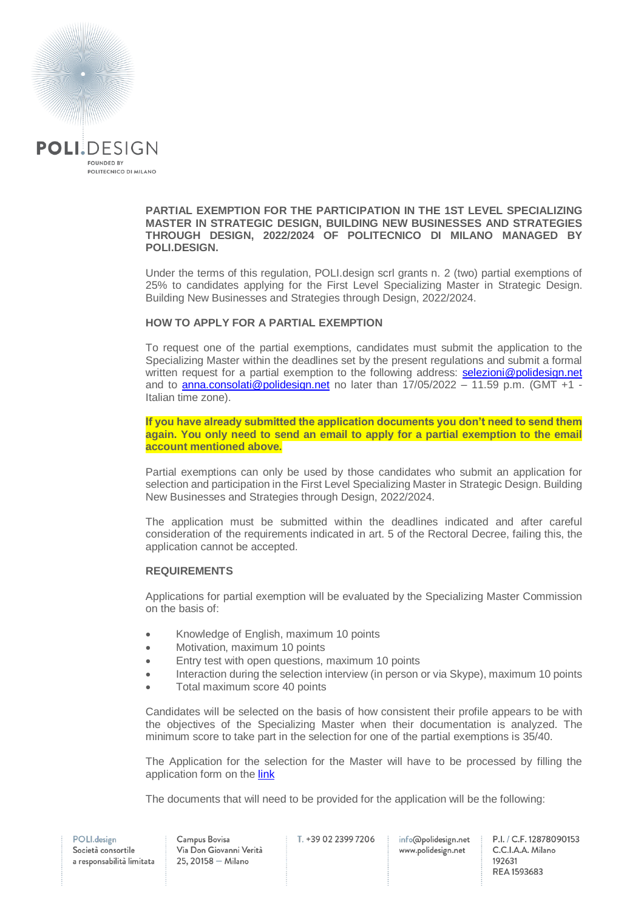

#### **PARTIAL EXEMPTION FOR THE PARTICIPATION IN THE 1ST LEVEL SPECIALIZING MASTER IN STRATEGIC DESIGN, BUILDING NEW BUSINESSES AND STRATEGIES THROUGH DESIGN, 2022/2024 OF POLITECNICO DI MILANO MANAGED BY POLI.DESIGN.**

Under the terms of this regulation, POLI.design scrl grants n. 2 (two) partial exemptions of 25% to candidates applying for the First Level Specializing Master in Strategic Design. Building New Businesses and Strategies through Design, 2022/2024.

# **HOW TO APPLY FOR A PARTIAL EXEMPTION**

To request one of the partial exemptions, candidates must submit the application to the Specializing Master within the deadlines set by the present regulations and submit a formal written request for a partial exemption to the following address: [selezioni@polidesign.net](mailto:selezioni@polidesign.net) and to [anna.consolati@polidesign.net](mailto:anna.consolati@polidesign.net) no later than  $17/05/2022 - 11.59$  p.m. (GMT +1 -Italian time zone).

**If you have already submitted the application documents you don't need to send them again. You only need to send an email to apply for a partial exemption to the email account mentioned above.**

Partial exemptions can only be used by those candidates who submit an application for selection and participation in the First Level Specializing Master in Strategic Design. Building New Businesses and Strategies through Design, 2022/2024.

The application must be submitted within the deadlines indicated and after careful consideration of the requirements indicated in art. 5 of the Rectoral Decree, failing this, the application cannot be accepted.

## **REQUIREMENTS**

Applications for partial exemption will be evaluated by the Specializing Master Commission on the basis of:

- Knowledge of English, maximum 10 points
- Motivation, maximum 10 points
- **Entry test with open questions, maximum 10 points**
- Interaction during the selection interview (in person or via Skype), maximum 10 points
- Total maximum score 40 points

Candidates will be selected on the basis of how consistent their profile appears to be with the objectives of the Specializing Master when their documentation is analyzed. The minimum score to take part in the selection for one of the partial exemptions is 35/40.

The Application for the selection for the Master will have to be processed by filling the application form on th[e link](https://www.polidesign.net/en/member-login/?candidatura&redirect_to=https://www.polidesign.net/en/candidatura/?courseID=POLID_5fce35d54a7bd)

The documents that will need to be provided for the application will be the following:

T. +39 02 2399 7206

info@polidesign.net www.polidesign.net

P.I. / C.F. 12878090153 C.C.I.A.A. Milano 192631 REA 1593683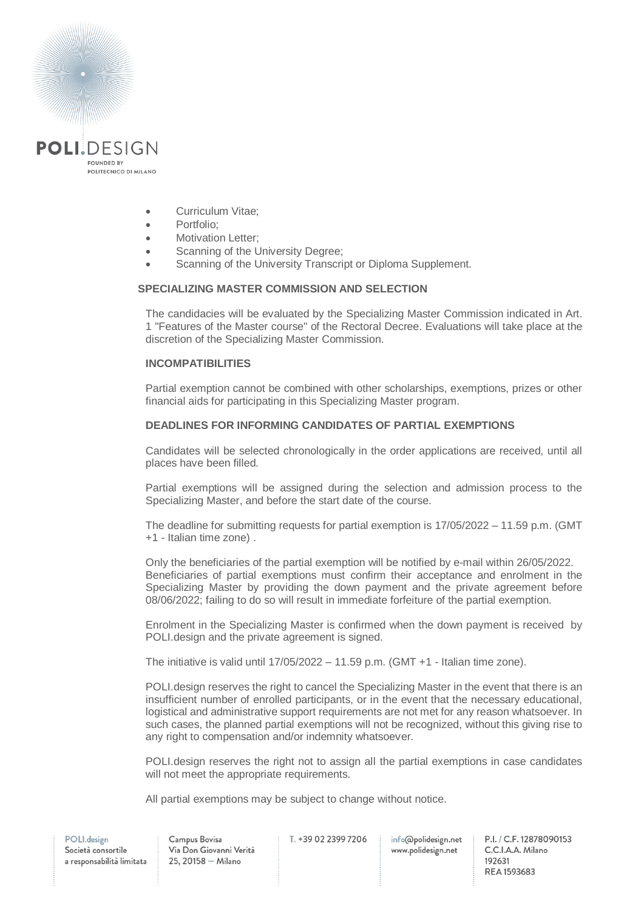

- Curriculum Vitae;
- Portfolio:
- Motivation Letter:
- Scanning of the University Degree;
- Scanning of the University Transcript or Diploma Supplement.

#### **SPECIALIZING MASTER COMMISSION AND SELECTION**

The candidacies will be evaluated by the Specializing Master Commission indicated in Art. 1 "Features of the Master course" of the Rectoral Decree. Evaluations will take place at the discretion of the Specializing Master Commission.

### **INCOMPATIBILITIES**

Partial exemption cannot be combined with other scholarships, exemptions, prizes or other financial aids for participating in this Specializing Master program.

### **DEADLINES FOR INFORMING CANDIDATES OF PARTIAL EXEMPTIONS**

Candidates will be selected chronologically in the order applications are received, until all places have been filled.

Partial exemptions will be assigned during the selection and admission process to the Specializing Master, and before the start date of the course.

The deadline for submitting requests for partial exemption is 17/05/2022 – 11.59 p.m. (GMT +1 - Italian time zone) .

Only the beneficiaries of the partial exemption will be notified by e-mail within 26/05/2022. Beneficiaries of partial exemptions must confirm their acceptance and enrolment in the Specializing Master by providing the down payment and the private agreement before 08/06/2022; failing to do so will result in immediate forfeiture of the partial exemption.

Enrolment in the Specializing Master is confirmed when the down payment is received by POLI design and the private agreement is signed.

The initiative is valid until  $17/05/2022 - 11.59$  p.m. (GMT  $+1$  - Italian time zone).

POLI.design reserves the right to cancel the Specializing Master in the event that there is an insufficient number of enrolled participants, or in the event that the necessary educational, logistical and administrative support requirements are not met for any reason whatsoever. In such cases, the planned partial exemptions will not be recognized, without this giving rise to any right to compensation and/or indemnity whatsoever.

POLI.design reserves the right not to assign all the partial exemptions in case candidates will not meet the appropriate requirements.

All partial exemptions may be subject to change without notice.

info@polidesign.net www.polidesign.net

P.I. / C.F. 12878090153 C.C.I.A.A. Milano 192631 REA 1593683